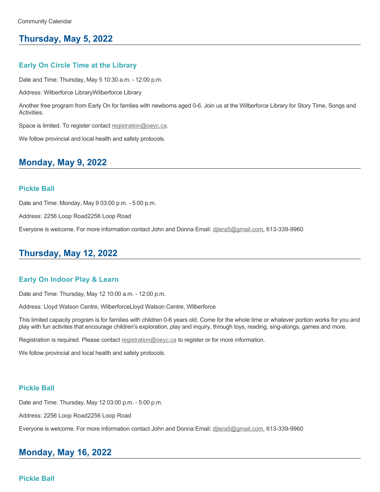## **Thursday, May 5, 2022**

### **Early On Circle Time at the Library**

Date and Time: Thursday, May 5 10:30 a.m. - 12:00 p.m.

Address: Wilberforce LibraryWilberforce Library

Another free program from Early On for famlies with newborns aged 0-6. Join us at the Wilberforce Library for Story Time, Songs and Activities.

Space is limited. To register contact [registration@oeyc.ca.](mailto:registration@oeyc.ca)

We follow provincial and local health and safety protocols.

### **Monday, May 9, 2022**

#### **Pickle Ball**

Date and Time: Monday, May 9 03:00 p.m. - 5:00 p.m.

Address: 2256 Loop Road2256 Loop Road

Everyone is welcome. For more information contact John and Donna Email: ditera5@gmail.com, 613-339-9960

## **Thursday, May 12, 2022**

#### **Early On Indoor Play & Learn**

Date and Time: Thursday, May 12 10:00 a.m. - 12:00 p.m.

Address: Lloyd Watson Centre, WilberforceLloyd Watson Centre, Wilberforce

This limited capacity program is for families with children 0-6 years old. Come for the whole time or whatever portion works for you and play with fun activites that encourage children's exploration, play and inquiry, through toys, reading, sing-alongs, games and more.

Registration is required. Please contact [registration@oeyc.ca](mailto:registration@oeyc.ca) to register or for more information.

We follow provincial and local health and safety protocols.

#### **Pickle Ball**

Date and Time: Thursday, May 12 03:00 p.m. - 5:00 p.m.

Address: 2256 Loop Road2256 Loop Road

Everyone is welcome. For more information contact John and Donna Email: ditera5@gmail.com, 613-339-9960

# **Monday, May 16, 2022**

### **Pickle Ball**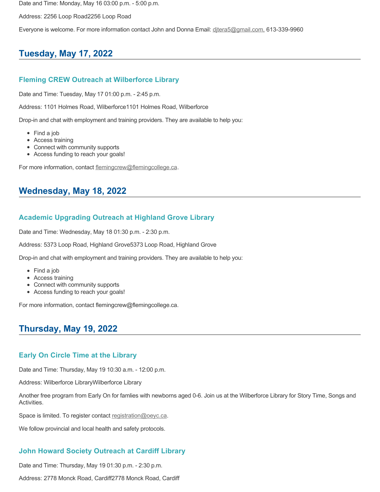Date and Time: Monday, May 16 03:00 p.m. - 5:00 p.m.

Address: 2256 Loop Road2256 Loop Road

Everyone is welcome. For more information contact John and Donna Email: [djtera5@gmail.com,](mailto:djtera5@gmail.com,) 613-339-9960

# **Tuesday, May 17, 2022**

### **Fleming CREW Outreach at Wilberforce Library**

Date and Time: Tuesday, May 17 01:00 p.m. - 2:45 p.m.

Address: 1101 Holmes Road, Wilberforce1101 Holmes Road, Wilberforce

Drop-in and chat with employment and training providers. They are available to help you:

- Find a job
- Access training
- Connect with community supports
- Access funding to reach your goals!

For more information, contact [flemingcrew@flemingcollege.ca.](mailto:flemingcrew@flemingcollege.ca)

# **Wednesday, May 18, 2022**

### **Academic Upgrading Outreach at Highland Grove Library**

Date and Time: Wednesday, May 18 01:30 p.m. - 2:30 p.m.

Address: 5373 Loop Road, Highland Grove5373 Loop Road, Highland Grove

Drop-in and chat with employment and training providers. They are available to help you:

- Find a job
- Access training
- Connect with community supports
- Access funding to reach your goals!

For more information, contact flemingcrew@flemingcollege.ca.

## **Thursday, May 19, 2022**

### **Early On Circle Time at the Library**

Date and Time: Thursday, May 19 10:30 a.m. - 12:00 p.m.

Address: Wilberforce LibraryWilberforce Library

Another free program from Early On for famlies with newborns aged 0-6. Join us at the Wilberforce Library for Story Time, Songs and Activities.

Space is limited. To register contact [registration@oeyc.ca.](mailto:registration@oeyc.ca)

We follow provincial and local health and safety protocols.

### **John Howard Society Outreach at Cardiff Library**

Date and Time: Thursday, May 19 01:30 p.m. - 2:30 p.m.

Address: 2778 Monck Road, Cardiff2778 Monck Road, Cardiff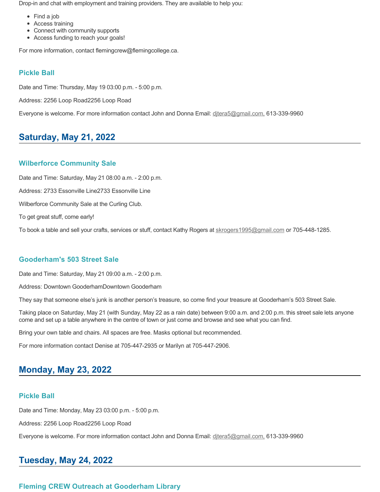Drop-in and chat with employment and training providers. They are available to help you:

- Find a job
- Access training
- Connect with community supports
- Access funding to reach your goals!

For more information, contact flemingcrew@flemingcollege.ca.

### **Pickle Ball**

Date and Time: Thursday, May 19 03:00 p.m. - 5:00 p.m.

Address: 2256 Loop Road2256 Loop Road

Everyone is welcome. For more information contact John and Donna Email: ditera5@gmail.com, 613-339-9960

# **Saturday, May 21, 2022**

### **Wilberforce Community Sale**

Date and Time: Saturday, May 21 08:00 a.m. - 2:00 p.m.

Address: 2733 Essonville Line2733 Essonville Line

Wilberforce Community Sale at the Curling Club.

To get great stuff, come early!

To book a table and sell your crafts, services or stuff, contact Kathy Rogers at [skrogers1995@gmail.com](mailto:skrogers1995@gmail.com) or 705-448-1285.

### **Gooderham's 503 Street Sale**

Date and Time: Saturday, May 21 09:00 a.m. - 2:00 p.m.

Address: Downtown GooderhamDowntown Gooderham

They say that someone else's junk is another person's treasure, so come find your treasure at Gooderham's 503 Street Sale.

Taking place on Saturday, May 21 (with Sunday, May 22 as a rain date) between 9:00 a.m. and 2:00 p.m. this street sale lets anyone come and set up a table anywhere in the centre of town or just come and browse and see what you can find.

Bring your own table and chairs. All spaces are free. Masks optional but recommended.

For more information contact Denise at 705-447-2935 or Marilyn at 705-447-2906.

# **Monday, May 23, 2022**

### **Pickle Ball**

Date and Time: Monday, May 23 03:00 p.m. - 5:00 p.m.

Address: 2256 Loop Road2256 Loop Road

Everyone is welcome. For more information contact John and Donna Email: [djtera5@gmail.com,](mailto:djtera5@gmail.com,) 613-339-9960

# **Tuesday, May 24, 2022**

### **Fleming CREW Outreach at Gooderham Library**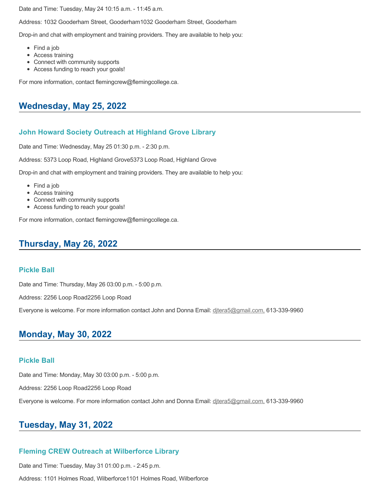Date and Time: Tuesday, May 24 10:15 a.m. - 11:45 a.m.

Address: 1032 Gooderham Street, Gooderham1032 Gooderham Street, Gooderham

Drop-in and chat with employment and training providers. They are available to help you:

- Find a job
- Access training
- Connect with community supports
- Access funding to reach your goals!

For more information, contact flemingcrew@flemingcollege.ca.

### **Wednesday, May 25, 2022**

### **John Howard Society Outreach at Highland Grove Library**

Date and Time: Wednesday, May 25 01:30 p.m. - 2:30 p.m.

Address: 5373 Loop Road, Highland Grove5373 Loop Road, Highland Grove

Drop-in and chat with employment and training providers. They are available to help you:

- Find a job
- Access training
- Connect with community supports
- Access funding to reach your goals!

For more information, contact flemingcrew@flemingcollege.ca.

## **Thursday, May 26, 2022**

#### **Pickle Ball**

Date and Time: Thursday, May 26 03:00 p.m. - 5:00 p.m.

Address: 2256 Loop Road2256 Loop Road

Everyone is welcome. For more information contact John and Donna Email: ditera5@gmail.com, 613-339-9960

## **Monday, May 30, 2022**

### **Pickle Ball**

Date and Time: Monday, May 30 03:00 p.m. - 5:00 p.m.

Address: 2256 Loop Road2256 Loop Road

Everyone is welcome. For more information contact John and Donna Email: [djtera5@gmail.com,](mailto:djtera5@gmail.com,) 613-339-9960

## **Tuesday, May 31, 2022**

### **Fleming CREW Outreach at Wilberforce Library**

Date and Time: Tuesday, May 31 01:00 p.m. - 2:45 p.m.

Address: 1101 Holmes Road, Wilberforce1101 Holmes Road, Wilberforce